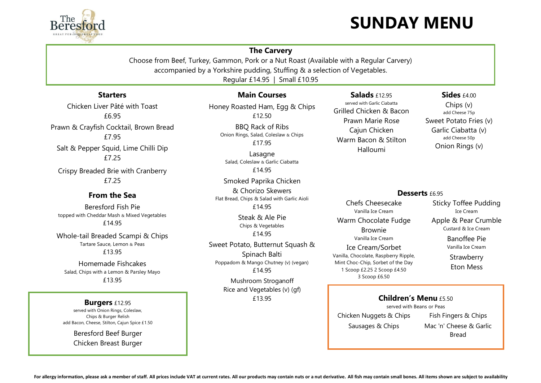# ` **SUNDAY MENU**



## **The Carvery**

Choose from Beef, Turkey, Gammon, Pork or a Nut Roast (Available with a Regular Carvery) accompanied by a Yorkshire pudding, Stuffing & a selection of Vegetables. Regular £14.95 | Small £10.95

## **Starters**

Chicken Liver Pâté with Toast £6.95 Prawn & Crayfish Cocktail, Brown Bread £7.95 Salt & Pepper Squid, Lime Chilli Dip £7.25

Crispy Breaded Brie with Cranberry £7.25

## **From the Sea**

Beresford Fish Pie topped with Cheddar Mash & Mixed Vegetables £14.95

Whole-tail Breaded Scampi & Chips Tartare Sauce, Lemon & Peas £13.95

Homemade Fishcakes Salad, Chips with a Lemon & Parsley Mayo £13.95

## **Burgers** £12.95

served with Onion Rings, Coleslaw, Chips & Burger Relish add Bacon, Cheese, Stilton, Cajun Spice £1.50

> Beresford Beef Burger Chicken Breast Burger

## **Main Courses**

Honey Roasted Ham, Egg & Chips £12.50

> BBQ Rack of Ribs Onion Rings, Salad, Coleslaw & Chips £17.95

Lasagne Salad, Coleslaw & Garlic Ciabatta £14.95

Smoked Paprika Chicken & Chorizo Skewers Flat Bread, Chips & Salad with Garlic Aioli £14.95

> Steak & Ale Pie Chips & Vegetables £14.95

Sweet Potato, Butternut Squash & Spinach Balti Poppadom & Mango Chutney (v) (vegan) £14.95

> Mushroom Stroganoff Rice and Vegetables (v) (gf) £13.95

# **Salads** £12.95

served with Garlic Ciabatta Grilled Chicken & Bacon Prawn Marie Rose Cajun Chicken Warm Bacon & Stilton Halloumi

### **Sides**  $f4.00$

Chips (v) add Cheese 75p Sweet Potato Fries (v) Garlic Ciabatta (v) add Cheese 50p Onion Rings (v)

#### **Desserts** £6.95

Chefs Cheesecake Vanilla Ice Cream Warm Chocolate Fudge Brownie Vanilla Ice Cream Ice Cream/Sorbet Vanilla, Chocolate, Raspberry Ripple, Mint Choc-Chip, Sorbet of the Day 1 Scoop £2.25 2 Scoop £4.50

3 Scoop £6.50

Sticky Toffee Pudding Ice Cream Apple & Pear Crumble Custard & Ice Cream

> Banoffee Pie Vanilla Ice Cream

**Strawberry** Eton Mess

## **Children's Menu £5.50**

served with Beans or Peas Chicken Nuggets & Chips

Sausages & Chips

Fish Fingers & Chips Mac 'n' Cheese & Garlic Bread